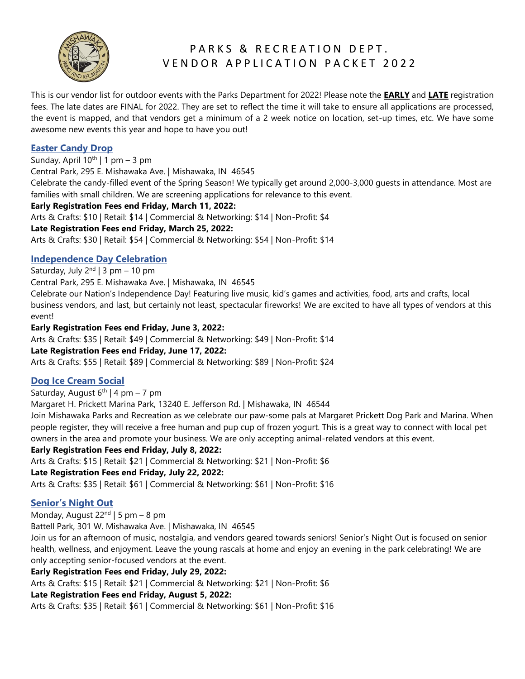

## PARKS & RECREATION DEPT. VENDOR APPLICATION PACKET 2022

This is our vendor list for outdoor events with the Parks Department for 2022! Please note the **EARLY** and **LATE** registration fees. The late dates are FINAL for 2022. They are set to reflect the time it will take to ensure all applications are processed, the event is mapped, and that vendors get a minimum of a 2 week notice on location, set-up times, etc. We have some awesome new events this year and hope to have you out!

## **Easter Candy Drop**

Sunday, April  $10^{th}$  | 1 pm – 3 pm

Central Park, 295 E. Mishawaka Ave. | Mishawaka, IN 46545

Celebrate the candy-filled event of the Spring Season! We typically get around 2,000-3,000 guests in attendance. Most are families with small children. We are screening applications for relevance to this event.

## **Early Registration Fees end Friday, March 11, 2022:**

Arts & Crafts: \$10 | Retail: \$14 | Commercial & Networking: \$14 | Non-Profit: \$4

## **Late Registration Fees end Friday, March 25, 2022:**

Arts & Crafts: \$30 | Retail: \$54 | Commercial & Networking: \$54 | Non-Profit: \$14

## **Independence Day Celebration**

Saturday, July 2<sup>nd</sup> | 3 pm – 10 pm

Central Park, 295 E. Mishawaka Ave. | Mishawaka, IN 46545

Celebrate our Nation's Independence Day! Featuring live music, kid's games and activities, food, arts and crafts, local business vendors, and last, but certainly not least, spectacular fireworks! We are excited to have all types of vendors at this event!

## **Early Registration Fees end Friday, June 3, 2022:**

Arts & Crafts: \$35 | Retail: \$49 | Commercial & Networking: \$49 | Non-Profit: \$14

## **Late Registration Fees end Friday, June 17, 2022:**

Arts & Crafts: \$55 | Retail: \$89 | Commercial & Networking: \$89 | Non-Profit: \$24

## **Dog Ice Cream Social**

Saturday, August  $6<sup>th</sup>$  | 4 pm – 7 pm

Margaret H. Prickett Marina Park, 13240 E. Jefferson Rd. | Mishawaka, IN 46544

Join Mishawaka Parks and Recreation as we celebrate our paw-some pals at Margaret Prickett Dog Park and Marina. When people register, they will receive a free human and pup cup of frozen yogurt. This is a great way to connect with local pet owners in the area and promote your business. We are only accepting animal-related vendors at this event.

## **Early Registration Fees end Friday, July 8, 2022:**

Arts & Crafts: \$15 | Retail: \$21 | Commercial & Networking: \$21 | Non-Profit: \$6

## **Late Registration Fees end Friday, July 22, 2022:**

Arts & Crafts: \$35 | Retail: \$61 | Commercial & Networking: \$61 | Non-Profit: \$16

## **Senior's Night Out**

Monday, August  $22<sup>nd</sup>$  | 5 pm – 8 pm

Battell Park, 301 W. Mishawaka Ave. | Mishawaka, IN 46545

Join us for an afternoon of music, nostalgia, and vendors geared towards seniors! Senior's Night Out is focused on senior health, wellness, and enjoyment. Leave the young rascals at home and enjoy an evening in the park celebrating! We are only accepting senior-focused vendors at the event.

## **Early Registration Fees end Friday, July 29, 2022:**

Arts & Crafts: \$15 | Retail: \$21 | Commercial & Networking: \$21 | Non-Profit: \$6

## **Late Registration Fees end Friday, August 5, 2022:**

Arts & Crafts: \$35 | Retail: \$61 | Commercial & Networking: \$61 | Non-Profit: \$16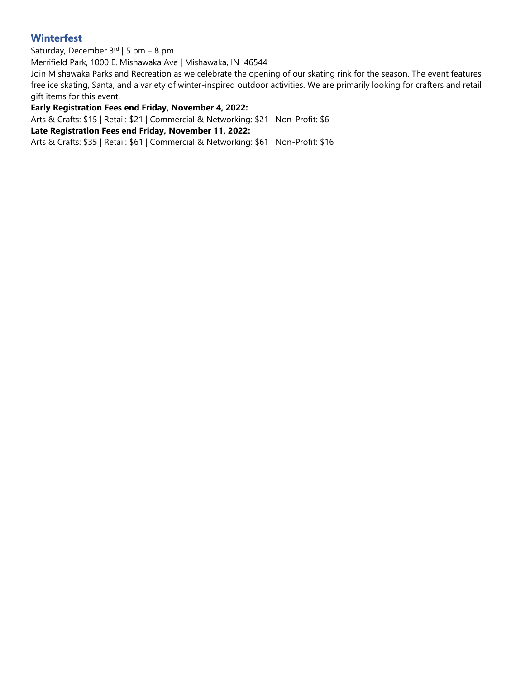## **Winterfest**

Saturday, December 3<sup>rd</sup> | 5 pm – 8 pm

Merrifield Park, 1000 E. Mishawaka Ave | Mishawaka, IN 46544

Join Mishawaka Parks and Recreation as we celebrate the opening of our skating rink for the season. The event features free ice skating, Santa, and a variety of winter-inspired outdoor activities. We are primarily looking for crafters and retail gift items for this event.

### **Early Registration Fees end Friday, November 4, 2022:**

Arts & Crafts: \$15 | Retail: \$21 | Commercial & Networking: \$21 | Non-Profit: \$6

### **Late Registration Fees end Friday, November 11, 2022:**

Arts & Crafts: \$35 | Retail: \$61 | Commercial & Networking: \$61 | Non-Profit: \$16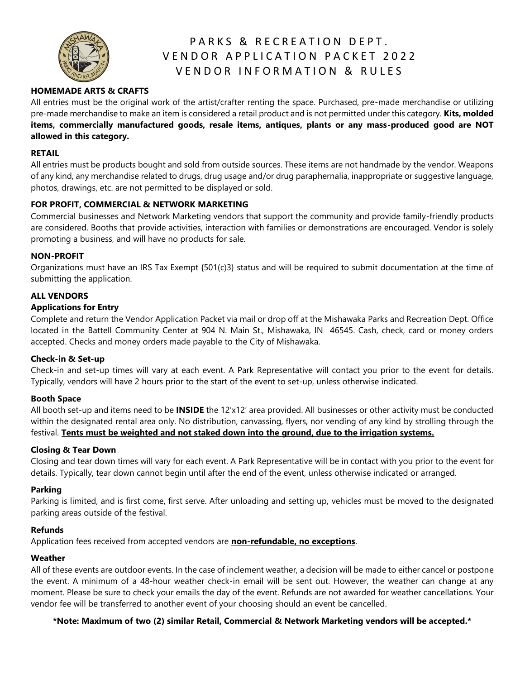

# PARKS & RECREATION DEPT. VENDOR APPLICATION PACKET 2022 V E N D O R I N F O R M A T I O N & R U L E S

## **HOMEMADE ARTS & CRAFTS**

All entries must be the original work of the artist/crafter renting the space. Purchased, pre-made merchandise or utilizing pre-made merchandise to make an item is considered a retail product and is not permitted under this category. **Kits, molded items, commercially manufactured goods, resale items, antiques, plants or any mass-produced good are NOT allowed in this category.**

#### **RETAIL**

All entries must be products bought and sold from outside sources. These items are not handmade by the vendor. Weapons of any kind, any merchandise related to drugs, drug usage and/or drug paraphernalia, inappropriate or suggestive language, photos, drawings, etc. are not permitted to be displayed or sold.

#### **FOR PROFIT, COMMERCIAL & NETWORK MARKETING**

Commercial businesses and Network Marketing vendors that support the community and provide family-friendly products are considered. Booths that provide activities, interaction with families or demonstrations are encouraged. Vendor is solely promoting a business, and will have no products for sale.

#### **NON-PROFIT**

Organizations must have an IRS Tax Exempt {501(c)3} status and will be required to submit documentation at the time of submitting the application.

### **ALL VENDORS**

#### **Applications for Entry**

Complete and return the Vendor Application Packet via mail or drop off at the Mishawaka Parks and Recreation Dept. Office located in the Battell Community Center at 904 N. Main St., Mishawaka, IN 46545. Cash, check, card or money orders accepted. Checks and money orders made payable to the City of Mishawaka.

#### **Check-in & Set-up**

Check-in and set-up times will vary at each event. A Park Representative will contact you prior to the event for details. Typically, vendors will have 2 hours prior to the start of the event to set-up, unless otherwise indicated.

#### **Booth Space**

All booth set-up and items need to be **INSIDE** the 12'x12' area provided. All businesses or other activity must be conducted within the designated rental area only. No distribution, canvassing, flyers, nor vending of any kind by strolling through the festival. **Tents must be weighted and not staked down into the ground, due to the irrigation systems.**

#### **Closing & Tear Down**

Closing and tear down times will vary for each event. A Park Representative will be in contact with you prior to the event for details. Typically, tear down cannot begin until after the end of the event, unless otherwise indicated or arranged.

#### **Parking**

Parking is limited, and is first come, first serve. After unloading and setting up, vehicles must be moved to the designated parking areas outside of the festival.

#### **Refunds**

Application fees received from accepted vendors are **non-refundable, no exceptions**.

#### **Weather**

All of these events are outdoor events. In the case of inclement weather, a decision will be made to either cancel or postpone the event. A minimum of a 48-hour weather check-in email will be sent out. However, the weather can change at any moment. Please be sure to check your emails the day of the event. Refunds are not awarded for weather cancellations. Your vendor fee will be transferred to another event of your choosing should an event be cancelled.

#### **\*Note: Maximum of two (2) similar Retail, Commercial & Network Marketing vendors will be accepted.\***